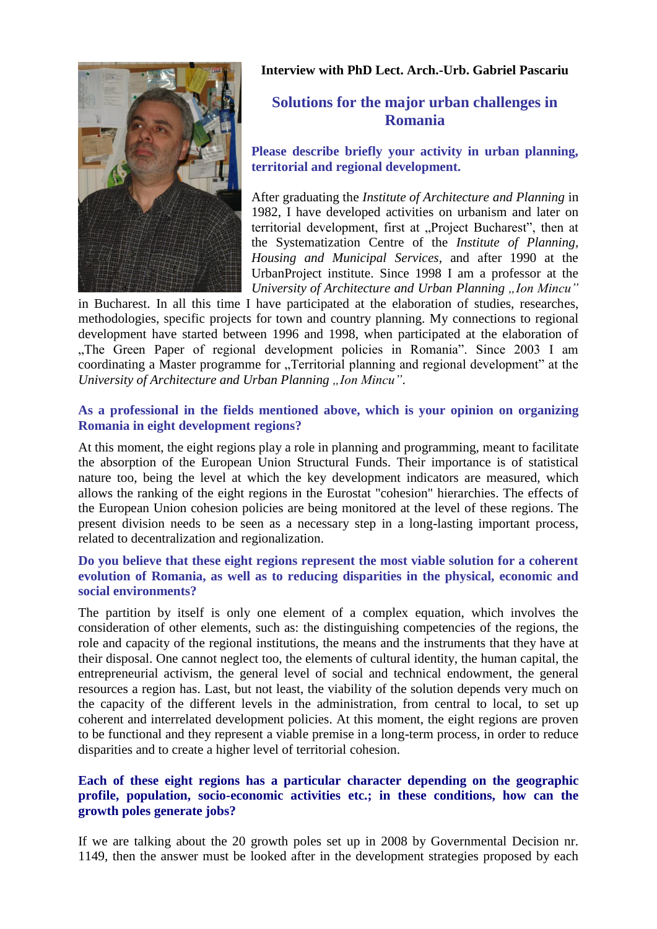

**Interview with PhD Lect. Arch.-Urb. Gabriel Pascariu**

# **Solutions for the major urban challenges in Romania**

## **Please describe briefly your activity in urban planning, territorial and regional development.**

After graduating the *Institute of Architecture and Planning* in 1982, I have developed activities on urbanism and later on territorial development, first at "Project Bucharest", then at the Systematization Centre of the *Institute of Planning, Housing and Municipal Services*, and after 1990 at the UrbanProject institute. Since 1998 I am a professor at the *University of Architecture and Urban Planning* "Ion Mincu"

in Bucharest. In all this time I have participated at the elaboration of studies, researches, methodologies, specific projects for town and country planning. My connections to regional development have started between 1996 and 1998, when participated at the elaboration of "The Green Paper of regional development policies in Romania". Since 2003 I am coordinating a Master programme for "Territorial planning and regional development" at the *University of Architecture and Urban Planning* "Ion Mincu".

## **As a professional in the fields mentioned above, which is your opinion on organizing Romania in eight development regions?**

At this moment, the eight regions play a role in planning and programming, meant to facilitate the absorption of the European Union Structural Funds. Their importance is of statistical nature too, being the level at which the key development indicators are measured, which allows the ranking of the eight regions in the Eurostat "cohesion" hierarchies. The effects of the European Union cohesion policies are being monitored at the level of these regions. The present division needs to be seen as a necessary step in a long-lasting important process, related to decentralization and regionalization.

## **Do you believe that these eight regions represent the most viable solution for a coherent evolution of Romania, as well as to reducing disparities in the physical, economic and social environments?**

The partition by itself is only one element of a complex equation, which involves the consideration of other elements, such as: the distinguishing competencies of the regions, the role and capacity of the regional institutions, the means and the instruments that they have at their disposal. One cannot neglect too, the elements of cultural identity, the human capital, the entrepreneurial activism, the general level of social and technical endowment, the general resources a region has. Last, but not least, the viability of the solution depends very much on the capacity of the different levels in the administration, from central to local, to set up coherent and interrelated development policies. At this moment, the eight regions are proven to be functional and they represent a viable premise in a long-term process, in order to reduce disparities and to create a higher level of territorial cohesion.

## **Each of these eight regions has a particular character depending on the geographic profile, population, socio-economic activities etc.; in these conditions, how can the growth poles generate jobs?**

If we are talking about the 20 growth poles set up in 2008 by Governmental Decision nr. 1149, then the answer must be looked after in the development strategies proposed by each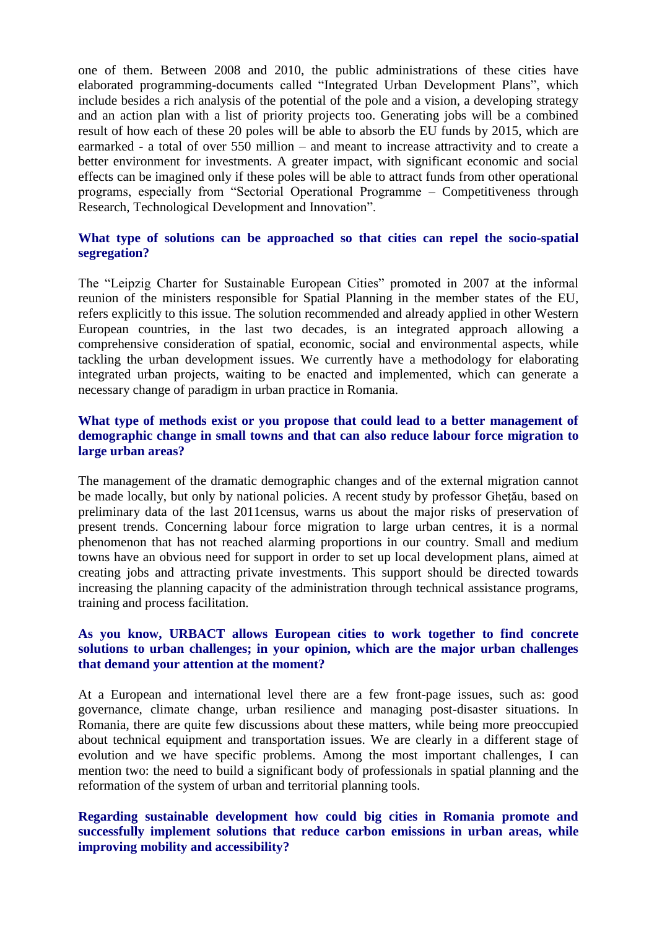one of them. Between 2008 and 2010, the public administrations of these cities have elaborated programming-documents called "Integrated Urban Development Plans", which include besides a rich analysis of the potential of the pole and a vision, a developing strategy and an action plan with a list of priority projects too. Generating jobs will be a combined result of how each of these 20 poles will be able to absorb the EU funds by 2015, which are earmarked - a total of over 550 million – and meant to increase attractivity and to create a better environment for investments. A greater impact, with significant economic and social effects can be imagined only if these poles will be able to attract funds from other operational programs, especially from "Sectorial Operational Programme – Competitiveness through Research, Technological Development and Innovation".

#### **What type of solutions can be approached so that cities can repel the socio-spatial segregation?**

The "Leipzig Charter for Sustainable European Cities" promoted in 2007 at the informal reunion of the ministers responsible for Spatial Planning in the member states of the EU, refers explicitly to this issue. The solution recommended and already applied in other Western European countries, in the last two decades, is an integrated approach allowing a comprehensive consideration of spatial, economic, social and environmental aspects, while tackling the urban development issues. We currently have a methodology for elaborating integrated urban projects, waiting to be enacted and implemented, which can generate a necessary change of paradigm in urban practice in Romania.

#### **What type of methods exist or you propose that could lead to a better management of demographic change in small towns and that can also reduce labour force migration to large urban areas?**

The management of the dramatic demographic changes and of the external migration cannot be made locally, but only by national policies. A recent study by professor Gheţău, based on preliminary data of the last 2011census, warns us about the major risks of preservation of present trends. Concerning labour force migration to large urban centres, it is a normal phenomenon that has not reached alarming proportions in our country. Small and medium towns have an obvious need for support in order to set up local development plans, aimed at creating jobs and attracting private investments. This support should be directed towards increasing the planning capacity of the administration through technical assistance programs, training and process facilitation.

#### **As you know, URBACT allows European cities to work together to find concrete solutions to urban challenges; in your opinion, which are the major urban challenges that demand your attention at the moment?**

At a European and international level there are a few front-page issues, such as: good governance, climate change, urban resilience and managing post-disaster situations. In Romania, there are quite few discussions about these matters, while being more preoccupied about technical equipment and transportation issues. We are clearly in a different stage of evolution and we have specific problems. Among the most important challenges, I can mention two: the need to build a significant body of professionals in spatial planning and the reformation of the system of urban and territorial planning tools.

## **Regarding sustainable development how could big cities in Romania promote and successfully implement solutions that reduce carbon emissions in urban areas, while improving mobility and accessibility?**